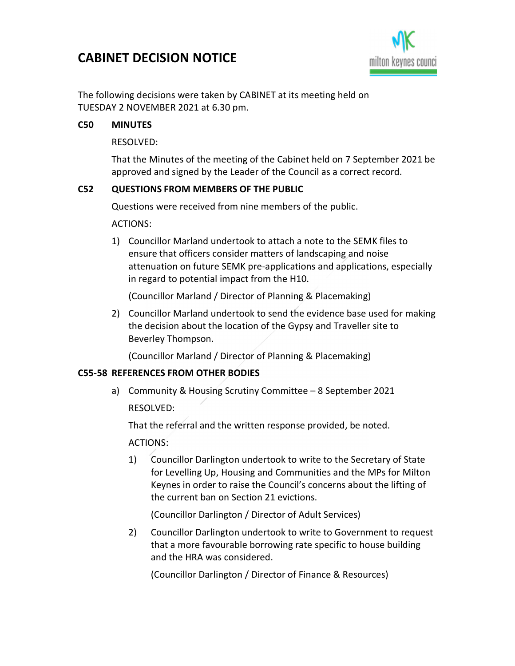# CABINET DECISION NOTICE



The following decisions were taken by CABINET at its meeting held on TUESDAY 2 NOVEMBER 2021 at 6.30 pm.

### C50 MINUTES

RESOLVED:

That the Minutes of the meeting of the Cabinet held on 7 September 2021 be approved and signed by the Leader of the Council as a correct record.

#### C52 QUESTIONS FROM MEMBERS OF THE PUBLIC

Questions were received from nine members of the public.

ACTIONS:

1) Councillor Marland undertook to attach a note to the SEMK files to ensure that officers consider matters of landscaping and noise attenuation on future SEMK pre-applications and applications, especially in regard to potential impact from the H10.

(Councillor Marland / Director of Planning & Placemaking)

2) Councillor Marland undertook to send the evidence base used for making the decision about the location of the Gypsy and Traveller site to Beverley Thompson.

(Councillor Marland / Director of Planning & Placemaking)

#### C55-58 REFERENCES FROM OTHER BODIES

a) Community & Housing Scrutiny Committee – 8 September 2021 RESOLVED:

That the referral and the written response provided, be noted.

ACTIONS:

1) Councillor Darlington undertook to write to the Secretary of State for Levelling Up, Housing and Communities and the MPs for Milton Keynes in order to raise the Council's concerns about the lifting of the current ban on Section 21 evictions.

(Councillor Darlington / Director of Adult Services)

2) Councillor Darlington undertook to write to Government to request that a more favourable borrowing rate specific to house building and the HRA was considered.

(Councillor Darlington / Director of Finance & Resources)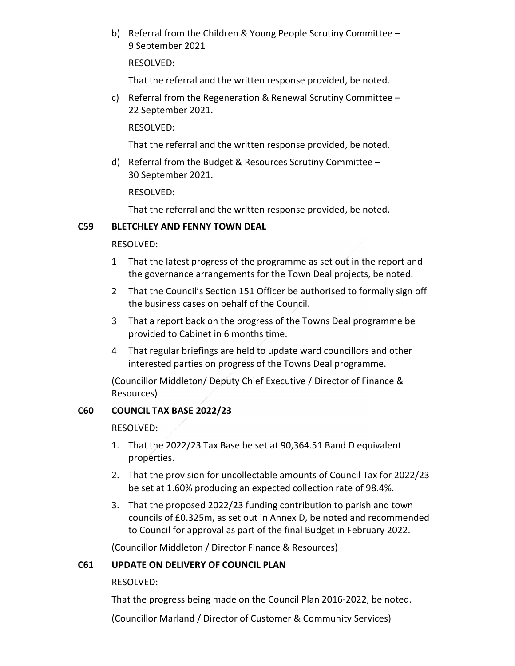b) Referral from the Children & Young People Scrutiny Committee – 9 September 2021

RESOLVED:

That the referral and the written response provided, be noted.

c) Referral from the Regeneration & Renewal Scrutiny Committee – 22 September 2021.

RESOLVED:

That the referral and the written response provided, be noted.

d) Referral from the Budget & Resources Scrutiny Committee – 30 September 2021.

RESOLVED:

That the referral and the written response provided, be noted.

#### C59 BLETCHLEY AND FENNY TOWN DEAL

RESOLVED:

- 1 That the latest progress of the programme as set out in the report and the governance arrangements for the Town Deal projects, be noted.
- 2 That the Council's Section 151 Officer be authorised to formally sign off the business cases on behalf of the Council.
- 3 That a report back on the progress of the Towns Deal programme be provided to Cabinet in 6 months time.
- 4 That regular briefings are held to update ward councillors and other interested parties on progress of the Towns Deal programme.

(Councillor Middleton/ Deputy Chief Executive / Director of Finance & Resources)

## C60 COUNCIL TAX BASE 2022/23

RESOLVED:

- 1. That the 2022/23 Tax Base be set at 90,364.51 Band D equivalent properties.
- 2. That the provision for uncollectable amounts of Council Tax for 2022/23 be set at 1.60% producing an expected collection rate of 98.4%.
- 3. That the proposed 2022/23 funding contribution to parish and town councils of £0.325m, as set out in Annex D, be noted and recommended to Council for approval as part of the final Budget in February 2022.

(Councillor Middleton / Director Finance & Resources)

## C61 UPDATE ON DELIVERY OF COUNCIL PLAN

RESOLVED:

That the progress being made on the Council Plan 2016-2022, be noted.

(Councillor Marland / Director of Customer & Community Services)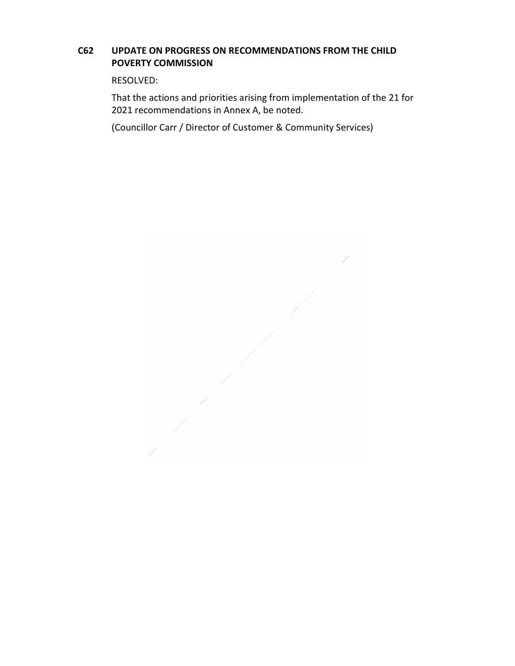## C62 UPDATE ON PROGRESS ON RECOMMENDATIONS FROM THE CHILD POVERTY COMMISSION

RESOLVED:

That the actions and priorities arising from implementation of the 21 for 2021 recommendations in Annex A, be noted.

(Councillor Carr / Director of Customer & Community Services)